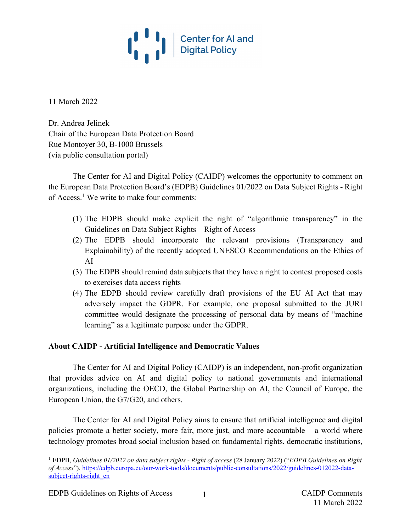

11 March 2022

Dr. Andrea Jelinek Chair of the European Data Protection Board Rue Montoyer 30, B-1000 Brussels (via public consultation portal)

The Center for AI and Digital Policy (CAIDP) welcomes the opportunity to comment on the European Data Protection Board's (EDPB) Guidelines 01/2022 on Data Subject Rights - Right of Access.1 We write to make four comments:

- (1) The EDPB should make explicit the right of "algorithmic transparency" in the Guidelines on Data Subject Rights – Right of Access
- (2) The EDPB should incorporate the relevant provisions (Transparency and Explainability) of the recently adopted UNESCO Recommendations on the Ethics of AI
- (3) The EDPB should remind data subjects that they have a right to contest proposed costs to exercises data access rights
- (4) The EDPB should review carefully draft provisions of the EU AI Act that may adversely impact the GDPR. For example, one proposal submitted to the JURI committee would designate the processing of personal data by means of "machine learning" as a legitimate purpose under the GDPR.

### **About CAIDP - Artificial Intelligence and Democratic Values**

The Center for AI and Digital Policy (CAIDP) is an independent, non-profit organization that provides advice on AI and digital policy to national governments and international organizations, including the OECD, the Global Partnership on AI, the Council of Europe, the European Union, the G7/G20, and others.

The Center for AI and Digital Policy aims to ensure that artificial intelligence and digital policies promote a better society, more fair, more just, and more accountable – a world where technology promotes broad social inclusion based on fundamental rights, democratic institutions,

<sup>1</sup> EDPB, *Guidelines 01/2022 on data subject rights - Right of access* (28 January 2022) ("*EDPB Guidelines on Right of Access*"), https://edpb.europa.eu/our-work-tools/documents/public-consultations/2022/guidelines-012022-datasubject-rights-right\_en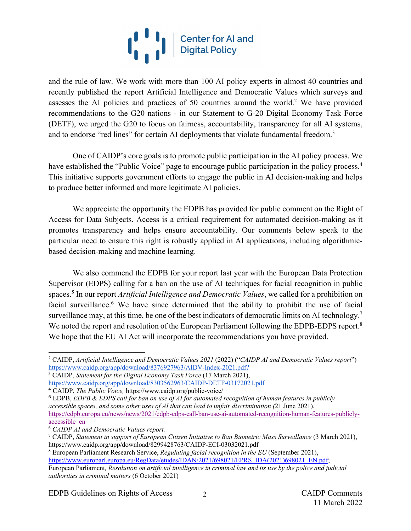# I Center for Al and

and the rule of law. We work with more than 100 AI policy experts in almost 40 countries and recently published the report Artificial Intelligence and Democratic Values which surveys and assesses the AI policies and practices of 50 countries around the world.2 We have provided recommendations to the G20 nations - in our Statement to G-20 Digital Economy Task Force (DETF), we urged the G20 to focus on fairness, accountability, transparency for all AI systems, and to endorse "red lines" for certain AI deployments that violate fundamental freedom.<sup>3</sup>

One of CAIDP's core goals is to promote public participation in the AI policy process. We have established the "Public Voice" page to encourage public participation in the policy process.<sup>4</sup> This initiative supports government efforts to engage the public in AI decision-making and helps to produce better informed and more legitimate AI policies.

We appreciate the opportunity the EDPB has provided for public comment on the Right of Access for Data Subjects. Access is a critical requirement for automated decision-making as it promotes transparency and helps ensure accountability. Our comments below speak to the particular need to ensure this right is robustly applied in AI applications, including algorithmicbased decision-making and machine learning.

We also commend the EDPB for your report last year with the European Data Protection Supervisor (EDPS) calling for a ban on the use of AI techniques for facial recognition in public spaces.5 In our report *Artificial Intelligence and Democratic Values*, we called for a prohibition on facial surveillance.<sup>6</sup> We have since determined that the ability to prohibit the use of facial surveillance may, at this time, be one of the best indicators of democratic limits on AI technology.<sup>7</sup> We noted the report and resolution of the European Parliament following the EDPB-EDPS report.<sup>8</sup> We hope that the EU AI Act will incorporate the recommendations you have provided.

<sup>8</sup> European Parliament Research Service, *Regulating facial recognition in the EU* (September 2021), https://www.europarl.europa.eu/RegData/etudes/IDAN/2021/698021/EPRS\_IDA(2021)698021\_EN.pdf; European Parliament*, Resolution on artificial intelligence in criminal law and its use by the police and judicial authorities in criminal matters* (6 October 2021)

<sup>2</sup> CAIDP, *Artificial Intelligence and Democratic Values 2021* (2022) ("*CAIDP AI and Democratic Values report*") https://www.caidp.org/app/download/8376927963/AIDV-Index-2021.pdf?

<sup>3</sup> CAIDP, *Statement for the Digital Economy Task Force* (17 March 2021), https://www.caidp.org/app/download/8303562963/CAIDP-DETF-03172021.pdf

<sup>4</sup> CAIDP, *The Public Voice,* https://www.caidp.org/public-voice/

<sup>5</sup> EDPB, *EDPB & EDPS call for ban on use of AI for automated recognition of human features in publicly accessible spaces, and some other uses of AI that can lead to unfair discrimination (*21 June 2021), https://edpb.europa.eu/news/news/2021/edpb-edps-call-ban-use-ai-automated-recognition-human-features-publiclyaccessible\_en

<sup>6</sup> *CAIDP AI and Democratic Values report.*

<sup>7</sup> CAIDP, *Statement in support of European Citizen Initiative to Ban Biometric Mass Surveillance* (3 March 2021), https://www.caidp.org/app/download/8299428763/CAIDP-ECI-03032021.pdf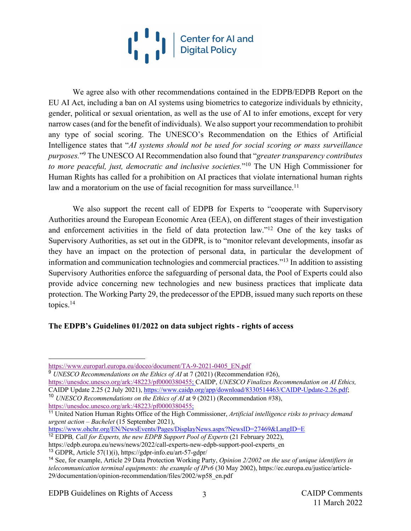

We agree also with other recommendations contained in the EDPB/EDPB Report on the EU AI Act, including a ban on AI systems using biometrics to categorize individuals by ethnicity, gender, political or sexual orientation, as well as the use of AI to infer emotions, except for very narrow cases(and for the benefit of individuals). We also support your recommendation to prohibit any type of social scoring. The UNESCO's Recommendation on the Ethics of Artificial Intelligence states that "*AI systems should not be used for social scoring or mass surveillance purposes.*"9 The UNESCO AI Recommendation also found that "*greater transparency contributes to more peaceful, just, democratic and inclusive societies.*"10 The UN High Commissioner for Human Rights has called for a prohibition on AI practices that violate international human rights law and a moratorium on the use of facial recognition for mass surveillance.<sup>11</sup>

We also support the recent call of EDPB for Experts to "cooperate with Supervisory Authorities around the European Economic Area (EEA), on different stages of their investigation and enforcement activities in the field of data protection law."12 One of the key tasks of Supervisory Authorities, as set out in the GDPR, is to "monitor relevant developments, insofar as they have an impact on the protection of personal data, in particular the development of information and communication technologies and commercial practices."13 In addition to assisting Supervisory Authorities enforce the safeguarding of personal data, the Pool of Experts could also provide advice concerning new technologies and new business practices that implicate data protection. The Working Party 29, the predecessor of the EPDB, issued many such reports on these topics.14

### **The EDPB's Guidelines 01/2022 on data subject rights - rights of access**

<sup>9</sup> *UNESCO Recommendations on the Ethics of AI* at 7 (2021) (Recommendation #26), https://unesdoc.unesco.org/ark:/48223/pf0000380455; CAIDP, *UNESCO Finalizes Recommendation on AI Ethics,*  CAIDP Update 2.25 (2 July 2021), https://www.caidp.org/app/download/8330514463/CAIDP-Update-2.26.pdf; <sup>10</sup> *UNESCO Recommendations on the Ethics of AI* at 9 (2021) (Recommendation #38),

https://unesdoc.unesco.org/ark:/48223/pf0000380455;

<sup>11</sup> United Nation Human Rights Office of the High Commissioner, *Artificial intelligence risks to privacy demand urgent action – Bachelet* (15 September 2021),

https://www.ohchr.org/EN/NewsEvents/Pages/DisplayNews.aspx?NewsID=27469&LangID=E

- <sup>12</sup> EDPB, Call for Experts, the new EDPB Support Pool of Experts (21 February 2022),
- https://edpb.europa.eu/news/news/2022/call-experts-new-edpb-support-pool-experts\_en <sup>13</sup> GDPR, Article 57(1)(i), https://gdpr-info.eu/art-57-gdpr/

EDPB Guidelines on Rights of Access 3 CAIDP Comments

https://www.europarl.europa.eu/doceo/document/TA-9-2021-0405\_EN.pdf

<sup>14</sup> See, for example, Article 29 Data Protection Working Party, *Opinion 2/2002 on the use of unique identifiers in telecommunication terminal equipments: the example of IPv6* (30 May 2002), https://ec.europa.eu/justice/article-29/documentation/opinion-recommendation/files/2002/wp58\_en.pdf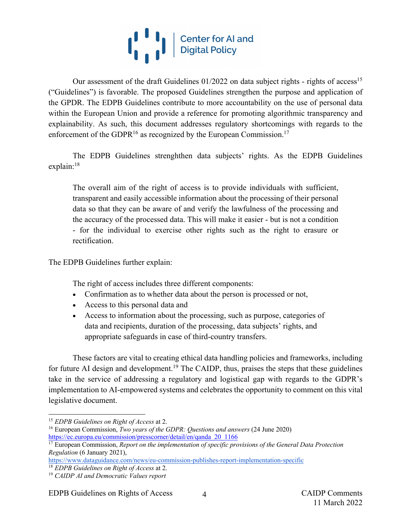# $\begin{pmatrix} 1 & 1 \\ 1 & 1 \end{pmatrix}$ Center for AI and<br>Digital Policy

Our assessment of the draft Guidelines  $01/2022$  on data subject rights - rights of access<sup>15</sup> ("Guidelines") is favorable. The proposed Guidelines strengthen the purpose and application of the GPDR. The EDPB Guidelines contribute to more accountability on the use of personal data within the European Union and provide a reference for promoting algorithmic transparency and explainability. As such, this document addresses regulatory shortcomings with regards to the enforcement of the GDPR<sup>16</sup> as recognized by the European Commission.<sup>17</sup>

The EDPB Guidelines strenghthen data subjects' rights. As the EDPB Guidelines explain: 18

The overall aim of the right of access is to provide individuals with sufficient, transparent and easily accessible information about the processing of their personal data so that they can be aware of and verify the lawfulness of the processing and the accuracy of the processed data. This will make it easier - but is not a condition - for the individual to exercise other rights such as the right to erasure or rectification.

The EDPB Guidelines further explain:

The right of access includes three different components:

- Confirmation as to whether data about the person is processed or not,
- Access to this personal data and
- Access to information about the processing, such as purpose, categories of data and recipients, duration of the processing, data subjects' rights, and appropriate safeguards in case of third-country transfers.

These factors are vital to creating ethical data handling policies and frameworks, including for future AI design and development.<sup>19</sup> The CAIDP, thus, praises the steps that these guidelines take in the service of addressing a regulatory and logistical gap with regards to the GDPR's implementation to AI-empowered systems and celebrates the opportunity to comment on this vital legislative document.

https://www.dataguidance.com/news/eu-commission-publishes-report-implementation-specific

EDPB Guidelines on Rights of Access 4 CAIDP Comments

<sup>15</sup> *EDPB Guidelines on Right of Access* at 2.

<sup>16</sup> European Commission, *Two years of the GDPR: Questions and answers* (24 June 2020) https://ec.europa.eu/commission/presscorner/detail/en/qanda\_20\_1166

<sup>17</sup> European Commission, *Report on the implementation of specific provisions of the General Data Protection Regulation* (6 January 2021),

<sup>18</sup> *EDPB Guidelines on Right of Access* at 2.

<sup>19</sup> *CAIDP AI and Democratic Values report*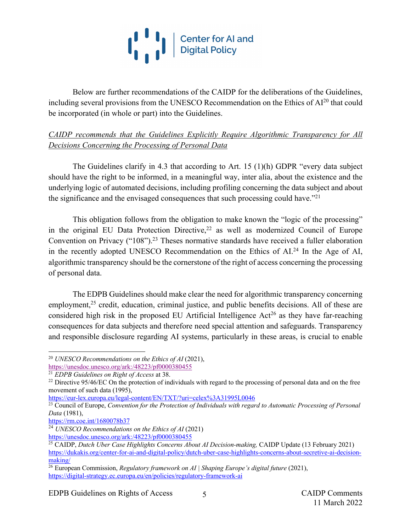

Below are further recommendations of the CAIDP for the deliberations of the Guidelines, including several provisions from the UNESCO Recommendation on the Ethics of  $Al^{20}$  that could be incorporated (in whole or part) into the Guidelines.

*CAIDP recommends that the Guidelines Explicitly Require Algorithmic Transparency for All Decisions Concerning the Processing of Personal Data*

The Guidelines clarify in 4.3 that according to Art. 15 (1)(h) GDPR "every data subject should have the right to be informed, in a meaningful way, inter alia, about the existence and the underlying logic of automated decisions, including profiling concerning the data subject and about the significance and the envisaged consequences that such processing could have."<sup>21</sup>

This obligation follows from the obligation to make known the "logic of the processing" in the original EU Data Protection Directive, $22$  as well as modernized Council of Europe Convention on Privacy ("108").<sup>23</sup> Theses normative standards have received a fuller elaboration in the recently adopted UNESCO Recommendation on the Ethics of  $AI^{24}$  In the Age of AI, algorithmic transparency should be the cornerstone of the right of access concerning the processing of personal data.

The EDPB Guidelines should make clear the need for algorithmic transparency concerning employment,<sup>25</sup> credit, education, criminal justice, and public benefits decisions. All of these are considered high risk in the proposed EU Artificial Intelligence  $Act^{26}$  as they have far-reaching consequences for data subjects and therefore need special attention and safeguards. Transparency and responsible disclosure regarding AI systems, particularly in these areas, is crucial to enable

<sup>20</sup> *UNESCO Recommendations on the Ethics of AI* (2021),

https://unesdoc.unesco.org/ark:/48223/pf0000380455

<sup>21</sup> *EDPB Guidelines on Right of Access* at 38.

<sup>&</sup>lt;sup>22</sup> Directive  $95/46/EC$  On the protection of individuals with regard to the processing of personal data and on the free movement of such data (1995),

https://eur-lex.europa.eu/legal-content/EN/TXT/?uri=celex%3A31995L0046

<sup>&</sup>lt;sup>23</sup> Council of Europe, *Convention for the Protection of Individuals with regard to Automatic Processing of Personal Data* (1981),

https://rm.coe.int/1680078b37

<sup>24</sup> *UNESCO Recommendations on the Ethics of AI* (2021) https://unesdoc.unesco.org/ark:/48223/pf0000380455

<sup>25</sup> CAIDP, *Dutch Uber Case Highlights Concerns About AI Decision-making,* CAIDP Update (13 February 2021) https://dukakis.org/center-for-ai-and-digital-policy/dutch-uber-case-highlights-concerns-about-secretive-ai-decisionmaking/

<sup>26</sup> European Commission, *Regulatory framework on AI | Shaping Europe's digital future* (2021), https://digital-strategy.ec.europa.eu/en/policies/regulatory-framework-ai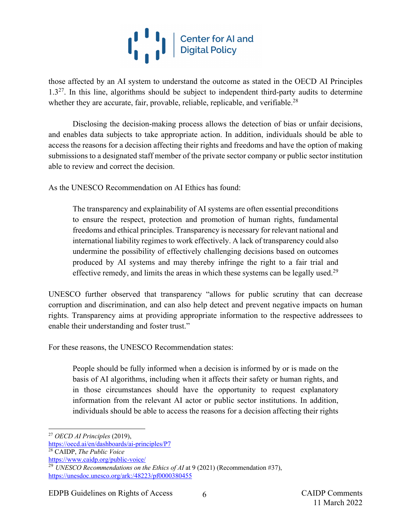# $\begin{bmatrix} 1 & 1 \ 1 & 1 \end{bmatrix}$  Center for Al and

those affected by an AI system to understand the outcome as stated in the OECD AI Principles  $1.3<sup>27</sup>$ . In this line, algorithms should be subject to independent third-party audits to determine whether they are accurate, fair, provable, reliable, replicable, and verifiable.<sup>28</sup>

Disclosing the decision-making process allows the detection of bias or unfair decisions, and enables data subjects to take appropriate action. In addition, individuals should be able to access the reasons for a decision affecting their rights and freedoms and have the option of making submissions to a designated staff member of the private sector company or public sector institution able to review and correct the decision.

As the UNESCO Recommendation on AI Ethics has found:

The transparency and explainability of AI systems are often essential preconditions to ensure the respect, protection and promotion of human rights, fundamental freedoms and ethical principles. Transparency is necessary for relevant national and international liability regimes to work effectively. A lack of transparency could also undermine the possibility of effectively challenging decisions based on outcomes produced by AI systems and may thereby infringe the right to a fair trial and effective remedy, and limits the areas in which these systems can be legally used.<sup>29</sup>

UNESCO further observed that transparency "allows for public scrutiny that can decrease corruption and discrimination, and can also help detect and prevent negative impacts on human rights. Transparency aims at providing appropriate information to the respective addressees to enable their understanding and foster trust."

For these reasons, the UNESCO Recommendation states:

People should be fully informed when a decision is informed by or is made on the basis of AI algorithms, including when it affects their safety or human rights, and in those circumstances should have the opportunity to request explanatory information from the relevant AI actor or public sector institutions. In addition, individuals should be able to access the reasons for a decision affecting their rights

<sup>27</sup> *OECD AI Principles* (2019),

https://oecd.ai/en/dashboards/ai-principles/P7

<sup>28</sup> CAIDP, *The Public Voice*

https://www.caidp.org/public-voice/

<sup>&</sup>lt;sup>29</sup> *UNESCO Recommendations on the Ethics of AI* at 9 (2021) (Recommendation #37), https://unesdoc.unesco.org/ark:/48223/pf0000380455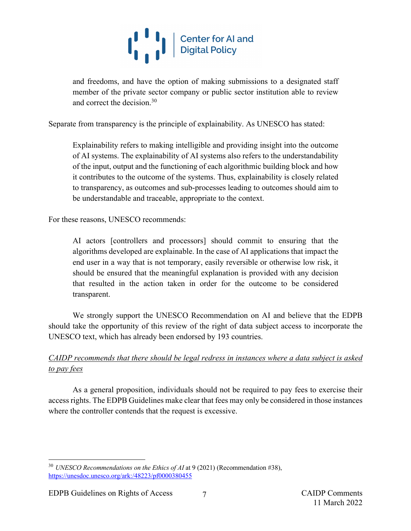

and freedoms, and have the option of making submissions to a designated staff member of the private sector company or public sector institution able to review and correct the decision.30

Separate from transparency is the principle of explainability. As UNESCO has stated:

Explainability refers to making intelligible and providing insight into the outcome of AI systems. The explainability of AI systems also refers to the understandability of the input, output and the functioning of each algorithmic building block and how it contributes to the outcome of the systems. Thus, explainability is closely related to transparency, as outcomes and sub-processes leading to outcomes should aim to be understandable and traceable, appropriate to the context.

For these reasons, UNESCO recommends:

AI actors [controllers and processors] should commit to ensuring that the algorithms developed are explainable. In the case of AI applications that impact the end user in a way that is not temporary, easily reversible or otherwise low risk, it should be ensured that the meaningful explanation is provided with any decision that resulted in the action taken in order for the outcome to be considered transparent.

We strongly support the UNESCO Recommendation on AI and believe that the EDPB should take the opportunity of this review of the right of data subject access to incorporate the UNESCO text, which has already been endorsed by 193 countries.

## *CAIDP recommends that there should be legal redress in instances where a data subject is asked to pay fees*

As a general proposition, individuals should not be required to pay fees to exercise their access rights. The EDPB Guidelines make clear that fees may only be considered in those instances where the controller contends that the request is excessive.

<sup>&</sup>lt;sup>30</sup> *UNESCO Recommendations on the Ethics of AI* at 9 (2021) (Recommendation #38), https://unesdoc.unesco.org/ark:/48223/pf0000380455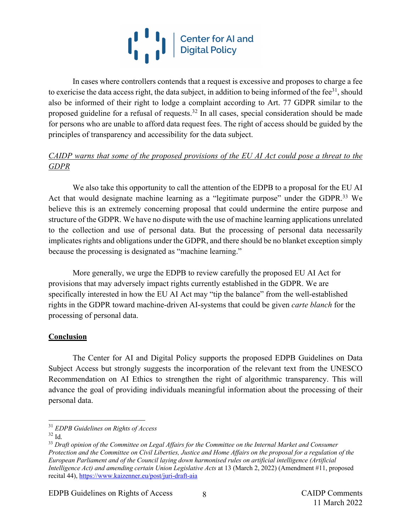

In cases where controllers contends that a request is excessive and proposes to charge a fee to exericise the data access right, the data subject, in addition to being informed of the fee $31$ , should also be informed of their right to lodge a complaint according to Art. 77 GDPR similar to the proposed guideline for a refusal of requests.<sup>32</sup> In all cases, special consideration should be made for persons who are unable to afford data request fees. The right of access should be guided by the principles of transparency and accessibility for the data subject.

### *CAIDP warns that some of the proposed provisions of the EU AI Act could pose a threat to the GDPR*

We also take this opportunity to call the attention of the EDPB to a proposal for the EU AI Act that would designate machine learning as a "legitimate purpose" under the GDPR.<sup>33</sup> We believe this is an extremely concerning proposal that could undermine the entire purpose and structure of the GDPR. We have no dispute with the use of machine learning applications unrelated to the collection and use of personal data. But the processing of personal data necessarily implicates rights and obligations under the GDPR, and there should be no blanket exception simply because the processing is designated as "machine learning."

More generally, we urge the EDPB to review carefully the proposed EU AI Act for provisions that may adversely impact rights currently established in the GDPR. We are specifically interested in how the EU AI Act may "tip the balance" from the well-established rights in the GDPR toward machine-driven AI-systems that could be given *carte blanch* for the processing of personal data.

### **Conclusion**

The Center for AI and Digital Policy supports the proposed EDPB Guidelines on Data Subject Access but strongly suggests the incorporation of the relevant text from the UNESCO Recommendation on AI Ethics to strengthen the right of algorithmic transparency. This will advance the goal of providing individuals meaningful information about the processing of their personal data.

EDPB Guidelines on Rights of Access 8 and 8 and 8 CAIDP Comments

<sup>31</sup> *EDPB Guidelines on Rights of Access*

 $32$  Id.

<sup>33</sup> *Draft opinion of the Committee on Legal Affairs for the Committee on the Internal Market and Consumer Protection and the Committee on Civil Liberties, Justice and Home Affairs on the proposal for a regulation of the European Parliament and of the Council laying down harmonised rules on artificial intelligence (Artificial Intelligence Act) and amending certain Union Legislative Acts* at 13 (March 2, 2022) (Amendment #11, proposed recital 44), https://www.kaizenner.eu/post/juri-draft-aia